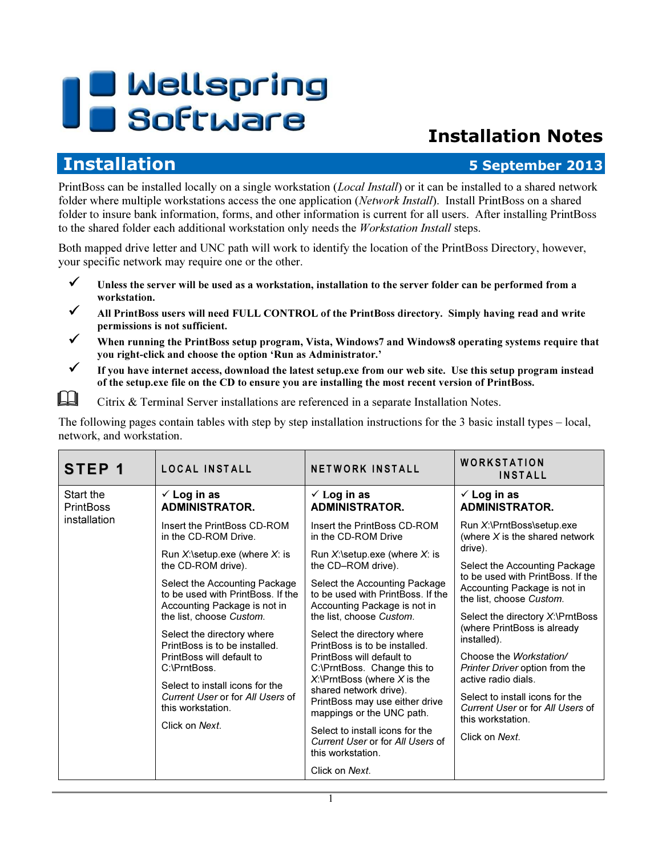# **U** Wellspring Software

# Installation Notes

## **Installation 5 September 2013**

PrintBoss can be installed locally on a single workstation (*Local Install*) or it can be installed to a shared network folder where multiple workstations access the one application (Network Install). Install PrintBoss on a shared folder to insure bank information, forms, and other information is current for all users. After installing PrintBoss to the shared folder each additional workstation only needs the *Workstation Install* steps.

Both mapped drive letter and UNC path will work to identify the location of the PrintBoss Directory, however, your specific network may require one or the other.

- $\checkmark$  Unless the server will be used as a workstation, installation to the server folder can be performed from a workstation.
- All PrintBoss users will need FULL CONTROL of the PrintBoss directory. Simply having read and write permissions is not sufficient.
- When running the PrintBoss setup program, Vista, Windows7 and Windows8 operating systems require that you right-click and choose the option 'Run as Administrator.'
- $\checkmark$  If you have internet access, download the latest setup.exe from our web site. Use this setup program instead of the setup.exe file on the CD to ensure you are installing the most recent version of PrintBoss.

**Example 3** Citrix & Terminal Server installations are referenced in a separate Installation Notes.

The following pages contain tables with step by step installation instructions for the 3 basic install types – local, network, and workstation.

| STEP <sub>1</sub>                             | LOCAL INSTALL                                                                                      | <b>NETWORK INSTALL</b>                                                                                                                                                                                                                                | WORKSTATION<br><b>INSTALL</b>                                                 |
|-----------------------------------------------|----------------------------------------------------------------------------------------------------|-------------------------------------------------------------------------------------------------------------------------------------------------------------------------------------------------------------------------------------------------------|-------------------------------------------------------------------------------|
| Start the<br><b>PrintBoss</b><br>installation | $\checkmark$ Log in as<br><b>ADMINISTRATOR.</b>                                                    | $\checkmark$ Log in as<br><b>ADMINISTRATOR.</b>                                                                                                                                                                                                       | $\checkmark$ Log in as<br><b>ADMINISTRATOR.</b>                               |
|                                               | Insert the PrintBoss CD-ROM<br>in the CD-ROM Drive.                                                | Insert the PrintBoss CD-ROM<br>in the CD-ROM Drive                                                                                                                                                                                                    | Run X:\PrntBoss\setup.exe<br>(where $X$ is the shared network                 |
|                                               | Run $X$ : \setup.exe (where $X$ : is<br>the CD-ROM drive).                                         | Run $X$ : \setup.exe (where $X$ : is<br>the CD-ROM drive).                                                                                                                                                                                            | drive).<br>Select the Accounting Package<br>to be used with PrintBoss. If the |
|                                               | Select the Accounting Package<br>to be used with PrintBoss. If the<br>Accounting Package is not in | Select the Accounting Package<br>to be used with PrintBoss. If the<br>Accounting Package is not in                                                                                                                                                    | Accounting Package is not in<br>the list, choose Custom.                      |
|                                               | the list, choose Custom.                                                                           | the list, choose Custom.                                                                                                                                                                                                                              | Select the directory X:\PrntBoss                                              |
|                                               | Select the directory where<br>PrintBoss is to be installed.                                        | Select the directory where<br>PrintBoss is to be installed.<br>PrintBoss will default to<br>C:\PrntBoss. Change this to<br>$X$ : \PrntBoss (where $X$ is the<br>shared network drive).<br>PrintBoss may use either drive<br>mappings or the UNC path. | (where PrintBoss is already<br>installed).                                    |
|                                               | PrintBoss will default to<br>C:\PrntBoss.                                                          |                                                                                                                                                                                                                                                       | Choose the Workstation/<br>Printer Driver option from the                     |
|                                               | Select to install icons for the                                                                    |                                                                                                                                                                                                                                                       | active radio dials.                                                           |
|                                               | Current User or for All Users of<br>this workstation.                                              |                                                                                                                                                                                                                                                       | Select to install icons for the<br>Current User or for All Users of           |
|                                               | Click on Next.                                                                                     | Select to install icons for the                                                                                                                                                                                                                       | this workstation.<br>Click on Next.                                           |
|                                               |                                                                                                    | Current User or for All Users of<br>this workstation.                                                                                                                                                                                                 |                                                                               |
|                                               |                                                                                                    | Click on Next.                                                                                                                                                                                                                                        |                                                                               |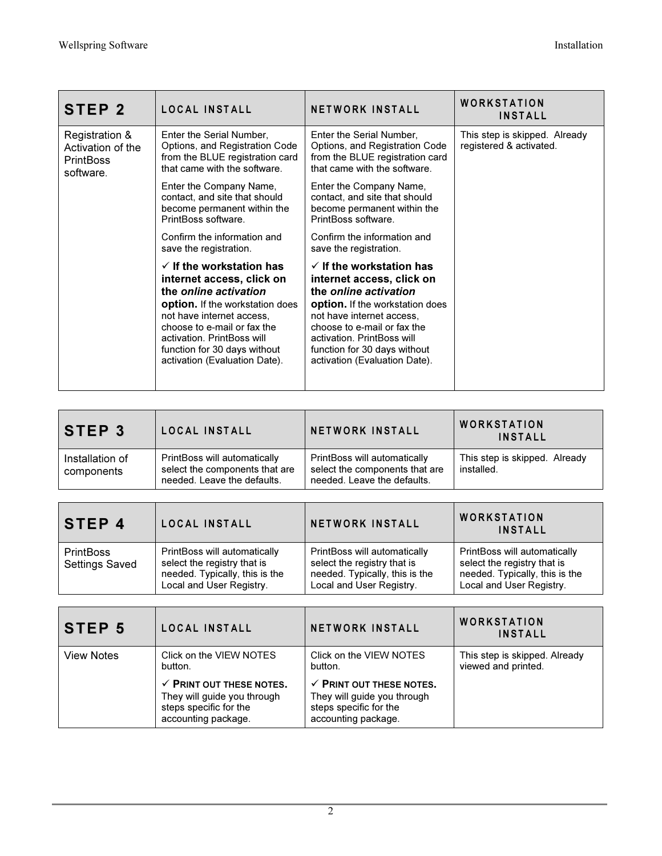| STEP <sub>2</sub>                                                    | LOCAL INSTALL                                                                                                                                                                                                                                                                                  | <b>NETWORK INSTALL</b>                                                                                                                                                                                                                                                                         | <b>WORKSTATION</b><br><b>INSTALL</b>                     |
|----------------------------------------------------------------------|------------------------------------------------------------------------------------------------------------------------------------------------------------------------------------------------------------------------------------------------------------------------------------------------|------------------------------------------------------------------------------------------------------------------------------------------------------------------------------------------------------------------------------------------------------------------------------------------------|----------------------------------------------------------|
| Registration &<br>Activation of the<br><b>PrintBoss</b><br>software. | Enter the Serial Number,<br>Options, and Registration Code<br>from the BLUE registration card<br>that came with the software.                                                                                                                                                                  | Enter the Serial Number,<br>Options, and Registration Code<br>from the BLUE registration card<br>that came with the software.                                                                                                                                                                  | This step is skipped. Already<br>registered & activated. |
|                                                                      | Enter the Company Name,<br>contact, and site that should<br>become permanent within the<br>PrintBoss software.                                                                                                                                                                                 | Enter the Company Name,<br>contact, and site that should<br>become permanent within the<br>PrintBoss software.                                                                                                                                                                                 |                                                          |
|                                                                      | Confirm the information and<br>save the registration.                                                                                                                                                                                                                                          | Confirm the information and<br>save the registration.                                                                                                                                                                                                                                          |                                                          |
|                                                                      | $\checkmark$ If the workstation has<br>internet access, click on<br>the online activation<br><b>option.</b> If the workstation does<br>not have internet access.<br>choose to e-mail or fax the<br>activation. PrintBoss will<br>function for 30 days without<br>activation (Evaluation Date). | $\checkmark$ If the workstation has<br>internet access, click on<br>the online activation<br><b>option.</b> If the workstation does<br>not have internet access.<br>choose to e-mail or fax the<br>activation. PrintBoss will<br>function for 30 days without<br>activation (Evaluation Date). |                                                          |

| <b>STEP 3</b>                 | LOCAL INSTALL                                                                                 | <b>NETWORK INSTALL</b>                                                                        | <b>WORKSTATION</b><br><b>INSTALL</b>        |
|-------------------------------|-----------------------------------------------------------------------------------------------|-----------------------------------------------------------------------------------------------|---------------------------------------------|
| Installation of<br>components | PrintBoss will automatically<br>select the components that are<br>needed. Leave the defaults. | PrintBoss will automatically<br>select the components that are<br>needed. Leave the defaults. | This step is skipped. Already<br>installed. |

| <b>STEP 4</b>                             | LOCAL INSTALL                                                                                                             | <b>NETWORK INSTALL</b>                                                                                                    | <b>WORKSTATION</b><br><b>INSTALL</b>                                                                                      |
|-------------------------------------------|---------------------------------------------------------------------------------------------------------------------------|---------------------------------------------------------------------------------------------------------------------------|---------------------------------------------------------------------------------------------------------------------------|
| <b>PrintBoss</b><br><b>Settings Saved</b> | PrintBoss will automatically<br>select the registry that is<br>needed. Typically, this is the<br>Local and User Registry. | PrintBoss will automatically<br>select the registry that is<br>needed. Typically, this is the<br>Local and User Registry. | PrintBoss will automatically<br>select the registry that is<br>needed. Typically, this is the<br>Local and User Registry. |

| <b>STEP 5</b>     | LOCAL INSTALL                                                                                                       | <b>NETWORK INSTALL</b>                                                                                              | <b>WORKSTATION</b><br><b>INSTALL</b>                 |
|-------------------|---------------------------------------------------------------------------------------------------------------------|---------------------------------------------------------------------------------------------------------------------|------------------------------------------------------|
| <b>View Notes</b> | Click on the VIEW NOTES<br>button.                                                                                  | Click on the VIEW NOTES<br>button.                                                                                  | This step is skipped. Already<br>viewed and printed. |
|                   | $\checkmark$ PRINT OUT THESE NOTES.<br>They will guide you through<br>steps specific for the<br>accounting package. | $\checkmark$ PRINT OUT THESE NOTES.<br>They will guide you through<br>steps specific for the<br>accounting package. |                                                      |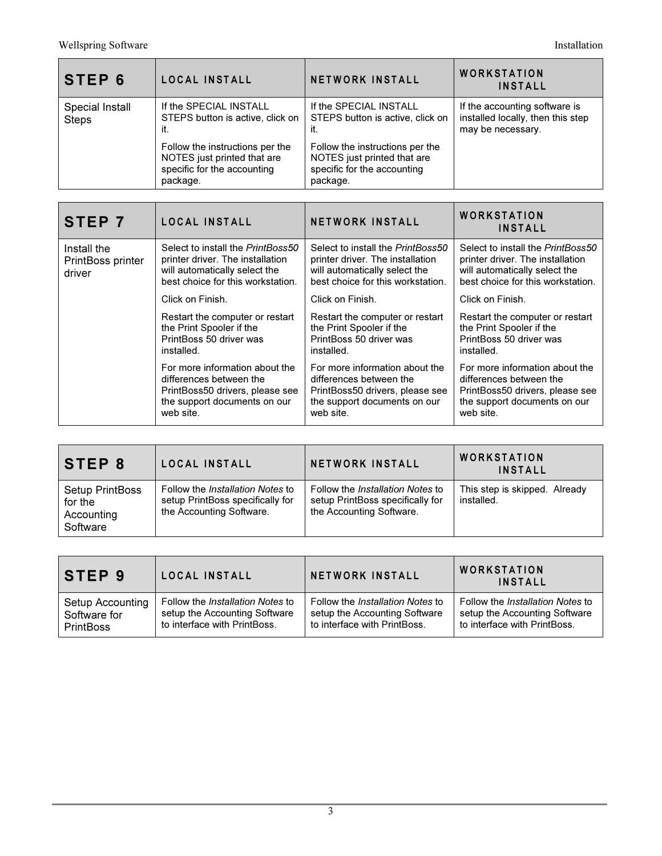| <b>STEP 6</b>                   | LOCAL INSTALL                                                                                             | <b>NETWORK INSTALL</b>                                                                                    | WORKSTATION<br><b>INSTALL</b>                                                           |
|---------------------------------|-----------------------------------------------------------------------------------------------------------|-----------------------------------------------------------------------------------------------------------|-----------------------------------------------------------------------------------------|
| Special Install<br><b>Steps</b> | If the SPECIAL INSTALL<br>STEPS button is active, click on<br>it.                                         | If the SPECIAL INSTALL<br>STEPS button is active, click on<br>it.                                         | If the accounting software is<br>installed locally, then this step<br>may be necessary. |
|                                 | Follow the instructions per the<br>NOTES just printed that are<br>specific for the accounting<br>package. | Follow the instructions per the<br>NOTES just printed that are<br>specific for the accounting<br>package. |                                                                                         |

| STEP 7                                     | LOCAL INSTALL                                                                                                                               | <b>NETWORK INSTALL</b>                                                                                                                      | <b>WORKSTATION</b><br><b>INSTALL</b>                                                                                                        |
|--------------------------------------------|---------------------------------------------------------------------------------------------------------------------------------------------|---------------------------------------------------------------------------------------------------------------------------------------------|---------------------------------------------------------------------------------------------------------------------------------------------|
| Install the<br>PrintBoss printer<br>driver | Select to install the PrintBoss50<br>printer driver. The installation<br>will automatically select the<br>best choice for this workstation. | Select to install the PrintBoss50<br>printer driver. The installation<br>will automatically select the<br>best choice for this workstation. | Select to install the PrintBoss50<br>printer driver. The installation<br>will automatically select the<br>best choice for this workstation. |
|                                            | Click on Finish.                                                                                                                            | Click on Finish.                                                                                                                            | Click on Finish.                                                                                                                            |
|                                            | Restart the computer or restart<br>the Print Spooler if the<br>PrintBoss 50 driver was<br>installed.                                        | Restart the computer or restart<br>the Print Spooler if the<br>PrintBoss 50 driver was<br>installed.                                        | Restart the computer or restart<br>the Print Spooler if the<br>PrintBoss 50 driver was<br>installed.                                        |
|                                            | For more information about the<br>differences between the<br>PrintBoss50 drivers, please see<br>the support documents on our<br>web site.   | For more information about the<br>differences between the<br>PrintBoss50 drivers, please see<br>the support documents on our<br>web site.   | For more information about the<br>differences between the<br>PrintBoss50 drivers, please see<br>the support documents on our<br>web site.   |

| STEP 8                                                      | LOCAL INSTALL                                                                                           | <b>NETWORK INSTALL</b>                                                                                  | <b>WORKSTATION</b><br><b>INSTALL</b>        |
|-------------------------------------------------------------|---------------------------------------------------------------------------------------------------------|---------------------------------------------------------------------------------------------------------|---------------------------------------------|
| <b>Setup PrintBoss</b><br>for the<br>Accounting<br>Software | Follow the <i>Installation Notes</i> to<br>setup PrintBoss specifically for<br>the Accounting Software. | Follow the <i>Installation Notes</i> to<br>setup PrintBoss specifically for<br>the Accounting Software. | This step is skipped. Already<br>installed. |

| STEP 9           | LOCAL INSTALL                           | <b>NETWORK INSTALL</b>                  | <b>WORKSTATION</b><br><b>INSTALL</b>    |
|------------------|-----------------------------------------|-----------------------------------------|-----------------------------------------|
| Setup Accounting | Follow the <i>Installation Notes</i> to | Follow the <i>Installation Notes</i> to | Follow the <i>Installation Notes</i> to |
| Software for     | setup the Accounting Software           | setup the Accounting Software           | setup the Accounting Software           |
| <b>PrintBoss</b> | to interface with PrintBoss.            | to interface with PrintBoss.            | to interface with PrintBoss.            |